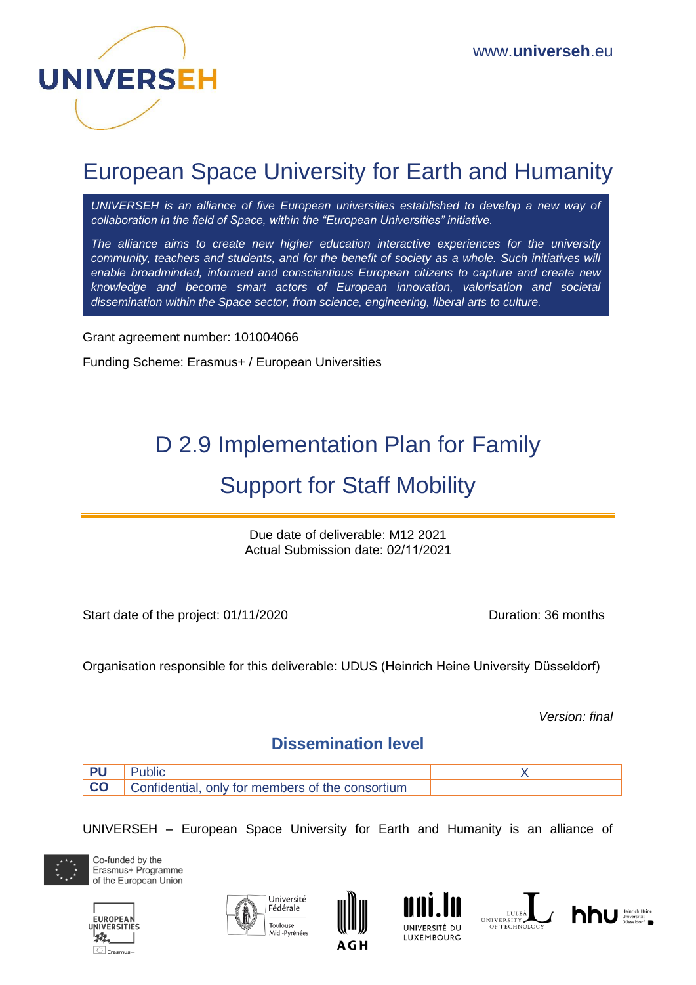

## European Space University for Earth and Humanity

UNIVERSEH is an alliance of five European universities established to develop a new way of *collaboration in the field of Space, within the "European Universities" initiative.*

*The alliance aims to create new higher education interactive experiences for the university community, teachers and students, and for the benefit of society as a whole. Such initiatives will enable broadminded, informed and conscientious European citizens to capture and create new knowledge and become smart actors of European innovation, valorisation and societal dissemination within the Space sector, from science, engineering, liberal arts to culture.*

Grant agreement number: 101004066

Funding Scheme: Erasmus+ / European Universities

# D 2.9 Implementation Plan for Family Support for Staff Mobility

Due date of deliverable: M12 2021 Actual Submission date: 02/11/2021

Start date of the project: 01/11/2020 Duration: 36 months

Organisation responsible for this deliverable: UDUS (Heinrich Heine University Düsseldorf)

*Version: final*

#### **Dissemination level**

| <b>PU</b> Public |                                                            |  |
|------------------|------------------------------------------------------------|--|
|                  | <b>CO</b> Confidential, only for members of the consortium |  |

UNIVERSEH – European Space University for Earth and Humanity is an alliance of



Co-funded by the Erasmus+ Programme of the European Union











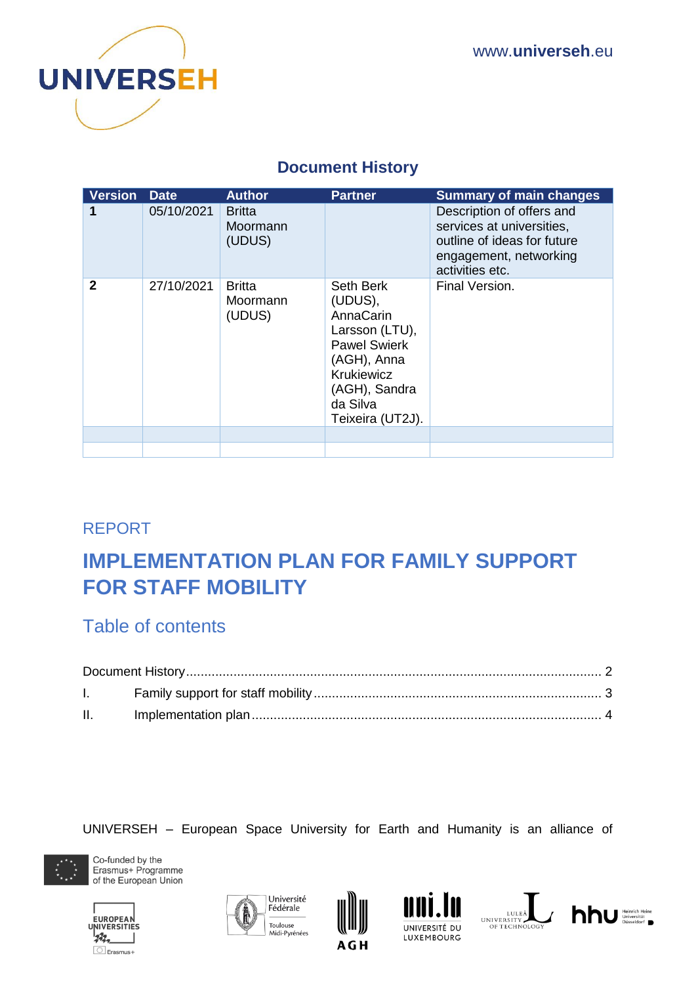

## **Document History**

<span id="page-1-0"></span>

| <b>Version</b> | <b>Date</b> | <b>Author</b>                       | <b>Partner</b>                                                                                                                                                  | <b>Summary of main changes</b>                                                                                                     |
|----------------|-------------|-------------------------------------|-----------------------------------------------------------------------------------------------------------------------------------------------------------------|------------------------------------------------------------------------------------------------------------------------------------|
|                | 05/10/2021  | <b>Britta</b><br>Moormann<br>(UDUS) |                                                                                                                                                                 | Description of offers and<br>services at universities,<br>outline of ideas for future<br>engagement, networking<br>activities etc. |
| $\mathbf{2}$   | 27/10/2021  | <b>Britta</b><br>Moormann<br>(UDUS) | Seth Berk<br>(UDUS),<br>AnnaCarin<br>Larsson (LTU),<br><b>Pawel Swierk</b><br>(AGH), Anna<br><b>Krukiewicz</b><br>(AGH), Sandra<br>da Silva<br>Teixeira (UT2J). | Final Version.                                                                                                                     |
|                |             |                                     |                                                                                                                                                                 |                                                                                                                                    |
|                |             |                                     |                                                                                                                                                                 |                                                                                                                                    |

## REPORT

## **IMPLEMENTATION PLAN FOR FAMILY SUPPORT FOR STAFF MOBILITY**

## Table of contents

| $\mathbf{L}$ |  |  |  |
|--------------|--|--|--|
| II.          |  |  |  |

#### UNIVERSEH – European Space University for Earth and Humanity is an alliance of



Co-funded by the Erasmus+ Programme of the European Union











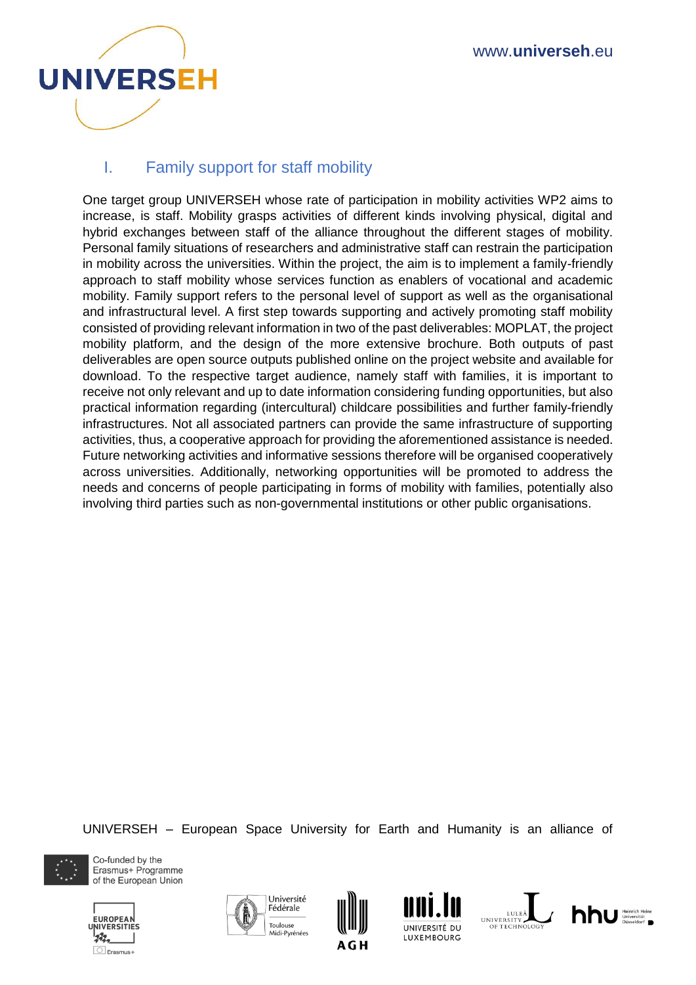

### <span id="page-2-0"></span>I. Family support for staff mobility

One target group UNIVERSEH whose rate of participation in mobility activities WP2 aims to increase, is staff. Mobility grasps activities of different kinds involving physical, digital and hybrid exchanges between staff of the alliance throughout the different stages of mobility. Personal family situations of researchers and administrative staff can restrain the participation in mobility across the universities. Within the project, the aim is to implement a family-friendly approach to staff mobility whose services function as enablers of vocational and academic mobility. Family support refers to the personal level of support as well as the organisational and infrastructural level. A first step towards supporting and actively promoting staff mobility consisted of providing relevant information in two of the past deliverables: MOPLAT, the project mobility platform, and the design of the more extensive brochure. Both outputs of past deliverables are open source outputs published online on the project website and available for download. To the respective target audience, namely staff with families, it is important to receive not only relevant and up to date information considering funding opportunities, but also practical information regarding (intercultural) childcare possibilities and further family-friendly infrastructures. Not all associated partners can provide the same infrastructure of supporting activities, thus, a cooperative approach for providing the aforementioned assistance is needed. Future networking activities and informative sessions therefore will be organised cooperatively across universities. Additionally, networking opportunities will be promoted to address the needs and concerns of people participating in forms of mobility with families, potentially also involving third parties such as non-governmental institutions or other public organisations.

UNIVERSEH – European Space University for Earth and Humanity is an alliance of



Co-funded by the Erasmus+ Programme of the European Union